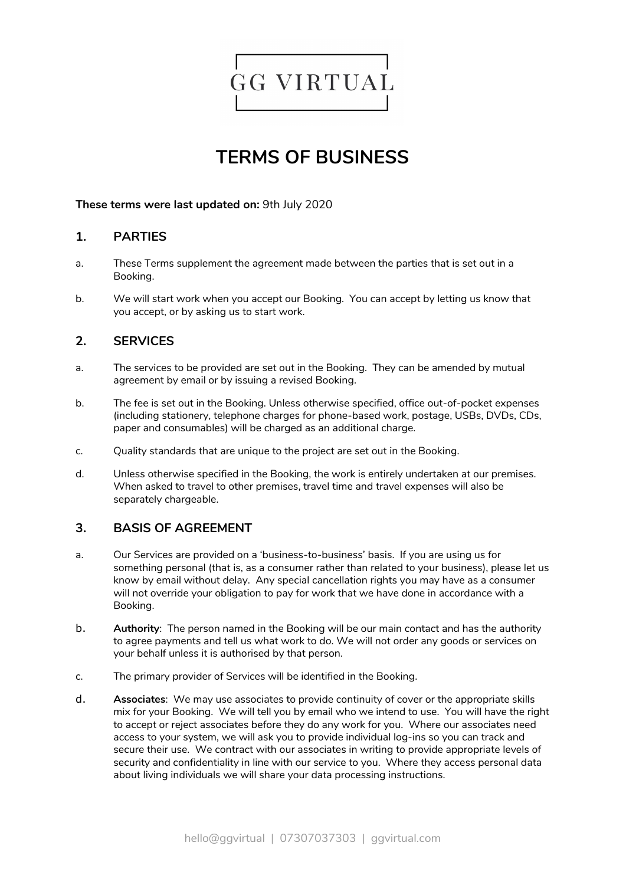

# **TERMS OF BUSINESS**

#### **These terms were last updated on:** 9th July 2020

#### **1. PARTIES**

- a. These Terms supplement the agreement made between the parties that is set out in a Booking.
- b. We will start work when you accept our Booking. You can accept by letting us know that you accept, or by asking us to start work.

#### **2. SERVICES**

- a. The services to be provided are set out in the Booking. They can be amended by mutual agreement by email or by issuing a revised Booking.
- b. The fee is set out in the Booking. Unless otherwise specified, office out-of-pocket expenses (including stationery, telephone charges for phone-based work, postage, USBs, DVDs, CDs, paper and consumables) will be charged as an additional charge.
- c. Quality standards that are unique to the project are set out in the Booking.
- d. Unless otherwise specified in the Booking, the work is entirely undertaken at our premises. When asked to travel to other premises, travel time and travel expenses will also be separately chargeable.

# **3. BASIS OF AGREEMENT**

- a. Our Services are provided on a 'business-to-business' basis. If you are using us for something personal (that is, as a consumer rather than related to your business), please let us know by email without delay. Any special cancellation rights you may have as a consumer will not override your obligation to pay for work that we have done in accordance with a Booking.
- b. **Authority**: The person named in the Booking will be our main contact and has the authority to agree payments and tell us what work to do. We will not order any goods or services on your behalf unless it is authorised by that person.
- c. The primary provider of Services will be identified in the Booking.
- d. **Associates**: We may use associates to provide continuity of cover or the appropriate skills mix for your Booking. We will tell you by email who we intend to use. You will have the right to accept or reject associates before they do any work for you. Where our associates need access to your system, we will ask you to provide individual log-ins so you can track and secure their use. We contract with our associates in writing to provide appropriate levels of security and confidentiality in line with our service to you. Where they access personal data about living individuals we will share your data processing instructions.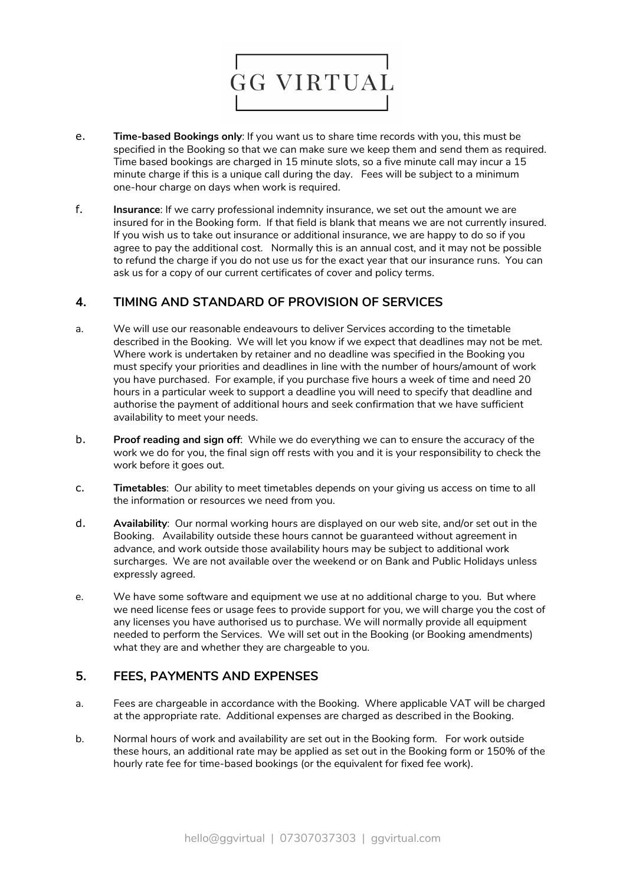

- e. **Time-based Bookings only**: If you want us to share time records with you, this must be specified in the Booking so that we can make sure we keep them and send them as required. Time based bookings are charged in 15 minute slots, so a five minute call may incur a 15 minute charge if this is a unique call during the day. Fees will be subject to a minimum one-hour charge on days when work is required.
- f. **Insurance**: If we carry professional indemnity insurance, we set out the amount we are insured for in the Booking form. If that field is blank that means we are not currently insured. If you wish us to take out insurance or additional insurance, we are happy to do so if you agree to pay the additional cost. Normally this is an annual cost, and it may not be possible to refund the charge if you do not use us for the exact year that our insurance runs. You can ask us for a copy of our current certificates of cover and policy terms.

# **4. TIMING AND STANDARD OF PROVISION OF SERVICES**

- a. We will use our reasonable endeavours to deliver Services according to the timetable described in the Booking. We will let you know if we expect that deadlines may not be met. Where work is undertaken by retainer and no deadline was specified in the Booking you must specify your priorities and deadlines in line with the number of hours/amount of work you have purchased. For example, if you purchase five hours a week of time and need 20 hours in a particular week to support a deadline you will need to specify that deadline and authorise the payment of additional hours and seek confirmation that we have sufficient availability to meet your needs.
- b. **Proof reading and sign off**: While we do everything we can to ensure the accuracy of the work we do for you, the final sign off rests with you and it is your responsibility to check the work before it goes out.
- c. **Timetables**: Our ability to meet timetables depends on your giving us access on time to all the information or resources we need from you.
- d. **Availability**: Our normal working hours are displayed on our web site, and/or set out in the Booking. Availability outside these hours cannot be guaranteed without agreement in advance, and work outside those availability hours may be subject to additional work surcharges. We are not available over the weekend or on Bank and Public Holidays unless expressly agreed.
- e. We have some software and equipment we use at no additional charge to you. But where we need license fees or usage fees to provide support for you, we will charge you the cost of any licenses you have authorised us to purchase. We will normally provide all equipment needed to perform the Services. We will set out in the Booking (or Booking amendments) what they are and whether they are chargeable to you.

# **5. FEES, PAYMENTS AND EXPENSES**

- a. Fees are chargeable in accordance with the Booking. Where applicable VAT will be charged at the appropriate rate. Additional expenses are charged as described in the Booking.
- b. Normal hours of work and availability are set out in the Booking form. For work outside these hours, an additional rate may be applied as set out in the Booking form or 150% of the hourly rate fee for time-based bookings (or the equivalent for fixed fee work).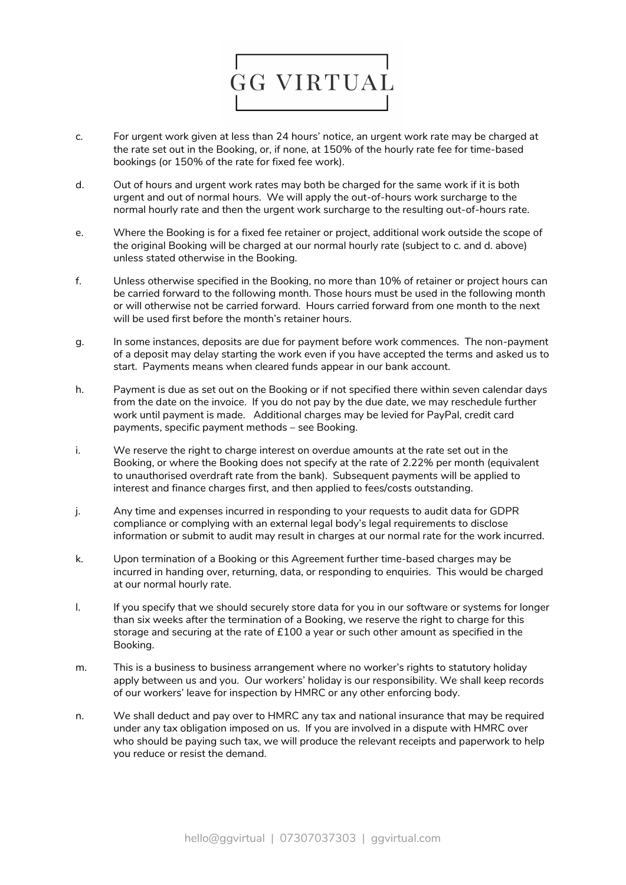

- c. For urgent work given at less than 24 hours' notice, an urgent work rate may be charged at the rate set out in the Booking, or, if none, at 150% of the hourly rate fee for time-based bookings (or 150% of the rate for fixed fee work).
- d. Out of hours and urgent work rates may both be charged for the same work if it is both urgent and out of normal hours. We will apply the out-of-hours work surcharge to the normal hourly rate and then the urgent work surcharge to the resulting out-of-hours rate.
- e. Where the Booking is for a fixed fee retainer or project, additional work outside the scope of the original Booking will be charged at our normal hourly rate (subject to c. and d. above) unless stated otherwise in the Booking.
- f. Unless otherwise specified in the Booking, no more than 10% of retainer or project hours can be carried forward to the following month. Those hours must be used in the following month or will otherwise not be carried forward. Hours carried forward from one month to the next will be used first before the month's retainer hours.
- g. In some instances, deposits are due for payment before work commences. The non-payment of a deposit may delay starting the work even if you have accepted the terms and asked us to start. Payments means when cleared funds appear in our bank account.
- h. Payment is due as set out on the Booking or if not specified there within seven calendar days from the date on the invoice. If you do not pay by the due date, we may reschedule further work until payment is made. Additional charges may be levied for PayPal, credit card payments, specific payment methods – see Booking.
- i. We reserve the right to charge interest on overdue amounts at the rate set out in the Booking, or where the Booking does not specify at the rate of 2.22% per month (equivalent to unauthorised overdraft rate from the bank). Subsequent payments will be applied to interest and finance charges first, and then applied to fees/costs outstanding.
- j. Any time and expenses incurred in responding to your requests to audit data for GDPR compliance or complying with an external legal body's legal requirements to disclose information or submit to audit may result in charges at our normal rate for the work incurred.
- k. Upon termination of a Booking or this Agreement further time-based charges may be incurred in handing over, returning, data, or responding to enquiries. This would be charged at our normal hourly rate.
- l. If you specify that we should securely store data for you in our software or systems for longer than six weeks after the termination of a Booking, we reserve the right to charge for this storage and securing at the rate of £100 a year or such other amount as specified in the Booking.
- m. This is a business to business arrangement where no worker's rights to statutory holiday apply between us and you. Our workers' holiday is our responsibility. We shall keep records of our workers' leave for inspection by HMRC or any other enforcing body.
- n. We shall deduct and pay over to HMRC any tax and national insurance that may be required under any tax obligation imposed on us. If you are involved in a dispute with HMRC over who should be paying such tax, we will produce the relevant receipts and paperwork to help you reduce or resist the demand.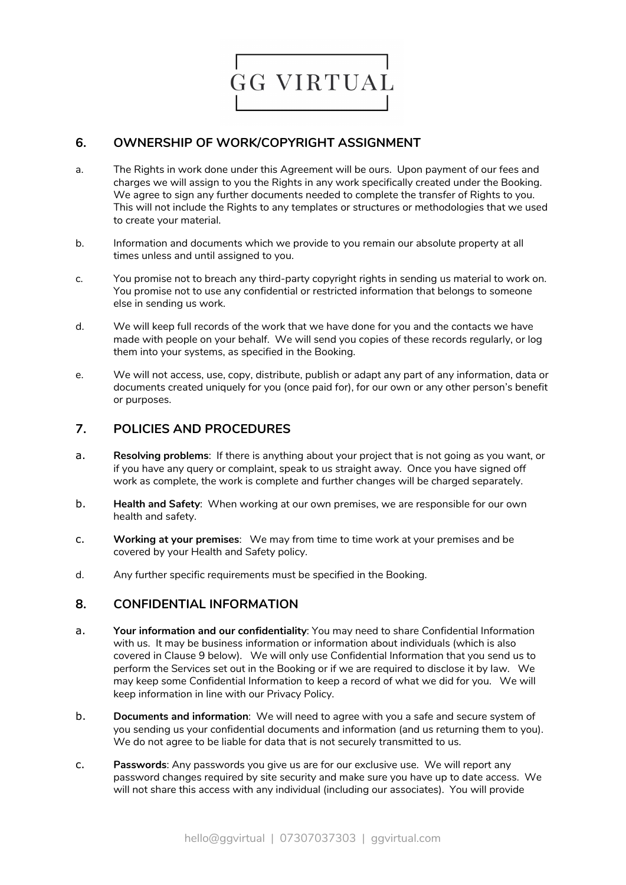

# **6. OWNERSHIP OF WORK/COPYRIGHT ASSIGNMENT**

- a. The Rights in work done under this Agreement will be ours. Upon payment of our fees and charges we will assign to you the Rights in any work specifically created under the Booking. We agree to sign any further documents needed to complete the transfer of Rights to you. This will not include the Rights to any templates or structures or methodologies that we used to create your material.
- b. Information and documents which we provide to you remain our absolute property at all times unless and until assigned to you.
- c. You promise not to breach any third-party copyright rights in sending us material to work on. You promise not to use any confidential or restricted information that belongs to someone else in sending us work.
- d. We will keep full records of the work that we have done for you and the contacts we have made with people on your behalf. We will send you copies of these records regularly, or log them into your systems, as specified in the Booking.
- e. We will not access, use, copy, distribute, publish or adapt any part of any information, data or documents created uniquely for you (once paid for), for our own or any other person's benefit or purposes.

#### **7. POLICIES AND PROCEDURES**

- a. **Resolving problems**: If there is anything about your project that is not going as you want, or if you have any query or complaint, speak to us straight away. Once you have signed off work as complete, the work is complete and further changes will be charged separately.
- b. **Health and Safety**: When working at our own premises, we are responsible for our own health and safety.
- c. **Working at your premises**: We may from time to time work at your premises and be covered by your Health and Safety policy.
- d. Any further specific requirements must be specified in the Booking.

#### **8. CONFIDENTIAL INFORMATION**

- a. **Your information and our confidentiality**: You may need to share Confidential Information with us. It may be business information or information about individuals (which is also covered in Clause 9 below). We will only use Confidential Information that you send us to perform the Services set out in the Booking or if we are required to disclose it by law. We may keep some Confidential Information to keep a record of what we did for you. We will keep information in line with our Privacy Policy.
- b. **Documents and information**: We will need to agree with you a safe and secure system of you sending us your confidential documents and information (and us returning them to you). We do not agree to be liable for data that is not securely transmitted to us.
- c. **Passwords**: Any passwords you give us are for our exclusive use. We will report any password changes required by site security and make sure you have up to date access. We will not share this access with any individual (including our associates). You will provide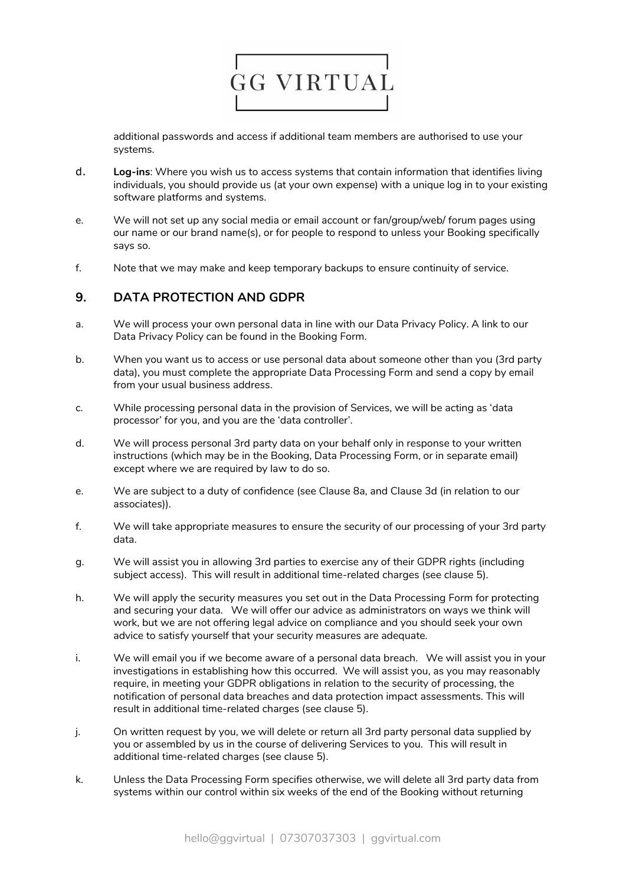

additional passwords and access if additional team members are authorised to use your systems.

- d. **Log-ins**: Where you wish us to access systems that contain information that identifies living individuals, you should provide us (at your own expense) with a unique log in to your existing software platforms and systems.
- e. We will not set up any social media or email account or fan/group/web/ forum pages using our name or our brand name(s), or for people to respond to unless your Booking specifically says so.
- f. Note that we may make and keep temporary backups to ensure continuity of service.

# **9. DATA PROTECTION AND GDPR**

- a. We will process your own personal data in line with our Data Privacy Policy. A link to our Data Privacy Policy can be found in the Booking Form.
- b. When you want us to access or use personal data about someone other than you (3rd party data), you must complete the appropriate Data Processing Form and send a copy by email from your usual business address.
- c. While processing personal data in the provision of Services, we will be acting as 'data processor' for you, and you are the 'data controller'.
- d. We will process personal 3rd party data on your behalf only in response to your written instructions (which may be in the Booking, Data Processing Form, or in separate email) except where we are required by law to do so.
- e. We are subject to a duty of confidence (see Clause 8a, and Clause 3d (in relation to our associates)).
- f. We will take appropriate measures to ensure the security of our processing of your 3rd party data.
- g. We will assist you in allowing 3rd parties to exercise any of their GDPR rights (including subject access). This will result in additional time-related charges (see clause 5).
- h. We will apply the security measures you set out in the Data Processing Form for protecting and securing your data. We will offer our advice as administrators on ways we think will work, but we are not offering legal advice on compliance and you should seek your own advice to satisfy yourself that your security measures are adequate.
- i. We will email you if we become aware of a personal data breach. We will assist you in your investigations in establishing how this occurred. We will assist you, as you may reasonably require, in meeting your GDPR obligations in relation to the security of processing, the notification of personal data breaches and data protection impact assessments. This will result in additional time-related charges (see clause 5).
- j. On written request by you, we will delete or return all 3rd party personal data supplied by you or assembled by us in the course of delivering Services to you. This will result in additional time-related charges (see clause 5).
- k. Unless the Data Processing Form specifies otherwise, we will delete all 3rd party data from systems within our control within six weeks of the end of the Booking without returning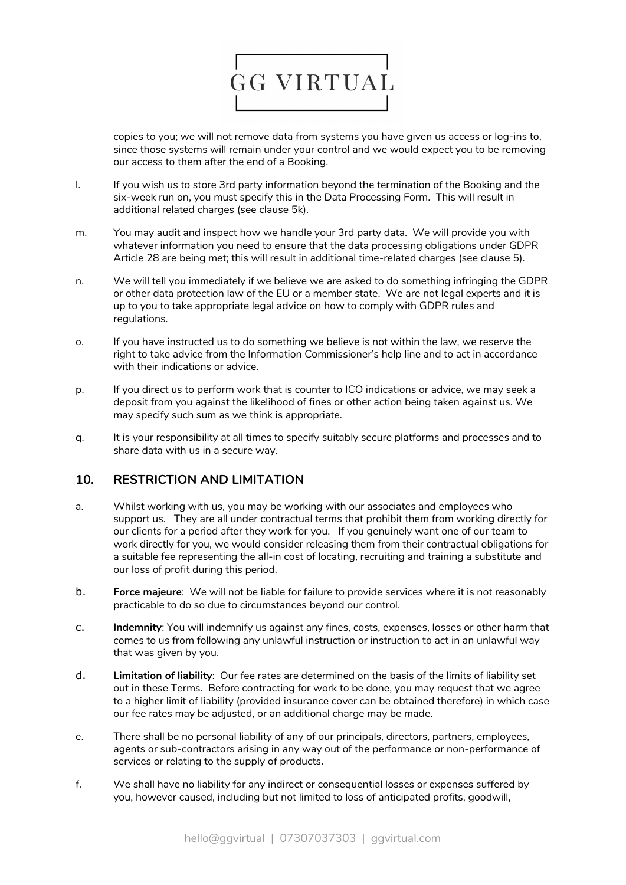

copies to you; we will not remove data from systems you have given us access or log-ins to, since those systems will remain under your control and we would expect you to be removing our access to them after the end of a Booking.

- l. If you wish us to store 3rd party information beyond the termination of the Booking and the six-week run on, you must specify this in the Data Processing Form. This will result in additional related charges (see clause 5k).
- m. You may audit and inspect how we handle your 3rd party data. We will provide you with whatever information you need to ensure that the data processing obligations under GDPR Article 28 are being met; this will result in additional time-related charges (see clause 5).
- n. We will tell you immediately if we believe we are asked to do something infringing the GDPR or other data protection law of the EU or a member state. We are not legal experts and it is up to you to take appropriate legal advice on how to comply with GDPR rules and regulations.
- o. If you have instructed us to do something we believe is not within the law, we reserve the right to take advice from the Information Commissioner's help line and to act in accordance with their indications or advice.
- p. If you direct us to perform work that is counter to ICO indications or advice, we may seek a deposit from you against the likelihood of fines or other action being taken against us. We may specify such sum as we think is appropriate.
- q. It is your responsibility at all times to specify suitably secure platforms and processes and to share data with us in a secure way.

#### **10. RESTRICTION AND LIMITATION**

- a. Whilst working with us, you may be working with our associates and employees who support us. They are all under contractual terms that prohibit them from working directly for our clients for a period after they work for you. If you genuinely want one of our team to work directly for you, we would consider releasing them from their contractual obligations for a suitable fee representing the all-in cost of locating, recruiting and training a substitute and our loss of profit during this period.
- b. **Force majeure**: We will not be liable for failure to provide services where it is not reasonably practicable to do so due to circumstances beyond our control.
- c. **Indemnity**: You will indemnify us against any fines, costs, expenses, losses or other harm that comes to us from following any unlawful instruction or instruction to act in an unlawful way that was given by you.
- d. **Limitation of liability**: Our fee rates are determined on the basis of the limits of liability set out in these Terms. Before contracting for work to be done, you may request that we agree to a higher limit of liability (provided insurance cover can be obtained therefore) in which case our fee rates may be adjusted, or an additional charge may be made.
- e. There shall be no personal liability of any of our principals, directors, partners, employees, agents or sub-contractors arising in any way out of the performance or non-performance of services or relating to the supply of products.
- f. We shall have no liability for any indirect or consequential losses or expenses suffered by you, however caused, including but not limited to loss of anticipated profits, goodwill,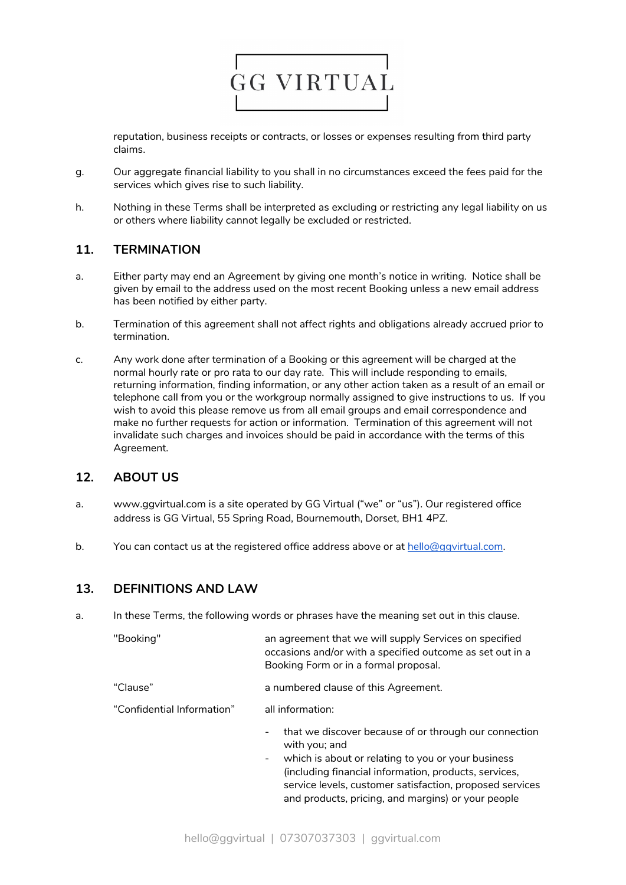

reputation, business receipts or contracts, or losses or expenses resulting from third party claims.

- g. Our aggregate financial liability to you shall in no circumstances exceed the fees paid for the services which gives rise to such liability.
- h. Nothing in these Terms shall be interpreted as excluding or restricting any legal liability on us or others where liability cannot legally be excluded or restricted.

#### **11. TERMINATION**

- a. Either party may end an Agreement by giving one month's notice in writing. Notice shall be given by email to the address used on the most recent Booking unless a new email address has been notified by either party.
- b. Termination of this agreement shall not affect rights and obligations already accrued prior to termination.
- c. Any work done after termination of a Booking or this agreement will be charged at the normal hourly rate or pro rata to our day rate. This will include responding to emails, returning information, finding information, or any other action taken as a result of an email or telephone call from you or the workgroup normally assigned to give instructions to us. If you wish to avoid this please remove us from all email groups and email correspondence and make no further requests for action or information. Termination of this agreement will not invalidate such charges and invoices should be paid in accordance with the terms of this Agreement.

#### **12. ABOUT US**

- a. www.ggvirtual.com is a site operated by GG Virtual ("we" or "us"). Our registered office address is GG Virtual, 55 Spring Road, Bournemouth, Dorset, BH1 4PZ.
- b. You can contact us at the registered office address above or at [hello@ggvirtual.com](mailto:hello@ggvirtual.com).

#### **13. DEFINITIONS AND LAW**

a. In these Terms, the following words or phrases have the meaning set out in this clause.

| "Booking"                  | an agreement that we will supply Services on specified<br>occasions and/or with a specified outcome as set out in a<br>Booking Form or in a formal proposal.                                                                                                                                                                                           |
|----------------------------|--------------------------------------------------------------------------------------------------------------------------------------------------------------------------------------------------------------------------------------------------------------------------------------------------------------------------------------------------------|
| "Clause"                   | a numbered clause of this Agreement.                                                                                                                                                                                                                                                                                                                   |
| "Confidential Information" | all information:                                                                                                                                                                                                                                                                                                                                       |
|                            | that we discover because of or through our connection<br>$\overline{\phantom{a}}$<br>with you; and<br>which is about or relating to you or your business<br>$\sim$ 10 $\pm$<br>(including financial information, products, services,<br>service levels, customer satisfaction, proposed services<br>and products, pricing, and margins) or your people |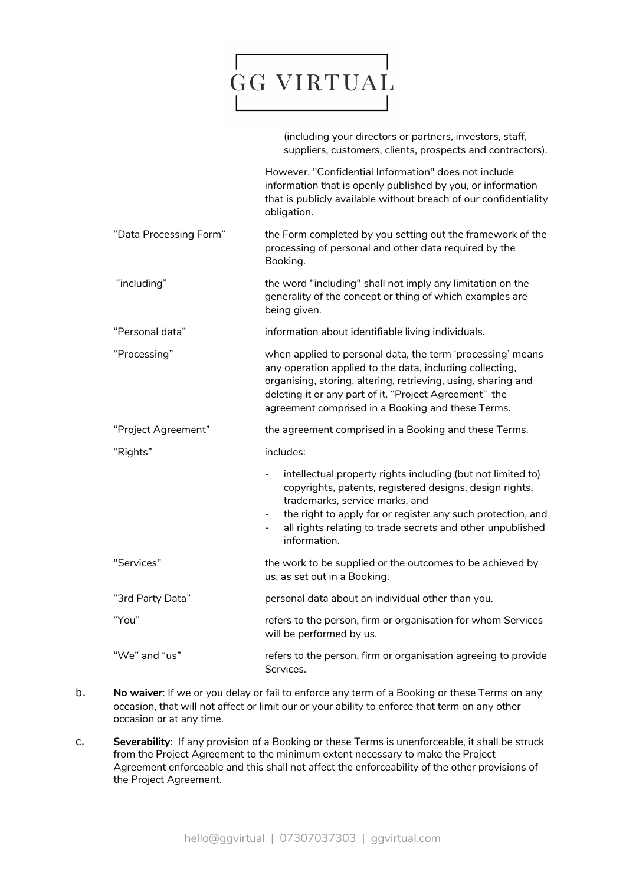# **GG VIRTUAL**

|                        | (including your directors or partners, investors, staff,<br>suppliers, customers, clients, prospects and contractors).                                                                                                                                                                                                            |
|------------------------|-----------------------------------------------------------------------------------------------------------------------------------------------------------------------------------------------------------------------------------------------------------------------------------------------------------------------------------|
|                        | However, "Confidential Information" does not include<br>information that is openly published by you, or information<br>that is publicly available without breach of our confidentiality<br>obligation.                                                                                                                            |
| "Data Processing Form" | the Form completed by you setting out the framework of the<br>processing of personal and other data required by the<br>Booking.                                                                                                                                                                                                   |
| "including"            | the word "including" shall not imply any limitation on the<br>generality of the concept or thing of which examples are<br>being given.                                                                                                                                                                                            |
| "Personal data"        | information about identifiable living individuals.                                                                                                                                                                                                                                                                                |
| "Processing"           | when applied to personal data, the term 'processing' means<br>any operation applied to the data, including collecting,<br>organising, storing, altering, retrieving, using, sharing and<br>deleting it or any part of it. "Project Agreement" the<br>agreement comprised in a Booking and these Terms.                            |
| "Project Agreement"    | the agreement comprised in a Booking and these Terms.                                                                                                                                                                                                                                                                             |
| "Rights"               | includes:                                                                                                                                                                                                                                                                                                                         |
|                        | intellectual property rights including (but not limited to)<br>$\overline{\phantom{a}}$<br>copyrights, patents, registered designs, design rights,<br>trademarks, service marks, and<br>the right to apply for or register any such protection, and<br>all rights relating to trade secrets and other unpublished<br>information. |
| "Services"             | the work to be supplied or the outcomes to be achieved by<br>us, as set out in a Booking.                                                                                                                                                                                                                                         |
| "3rd Party Data"       | personal data about an individual other than you.                                                                                                                                                                                                                                                                                 |
| "You"                  | refers to the person, firm or organisation for whom Services<br>will be performed by us.                                                                                                                                                                                                                                          |
| "We" and "us"          | refers to the person, firm or organisation agreeing to provide<br>Services.                                                                                                                                                                                                                                                       |

- b. **No waiver**: If we or you delay or fail to enforce any term of a Booking or these Terms on any occasion, that will not affect or limit our or your ability to enforce that term on any other occasion or at any time.
- c. **Severability**: If any provision of a Booking or these Terms is unenforceable, it shall be struck from the Project Agreement to the minimum extent necessary to make the Project Agreement enforceable and this shall not affect the enforceability of the other provisions of the Project Agreement.